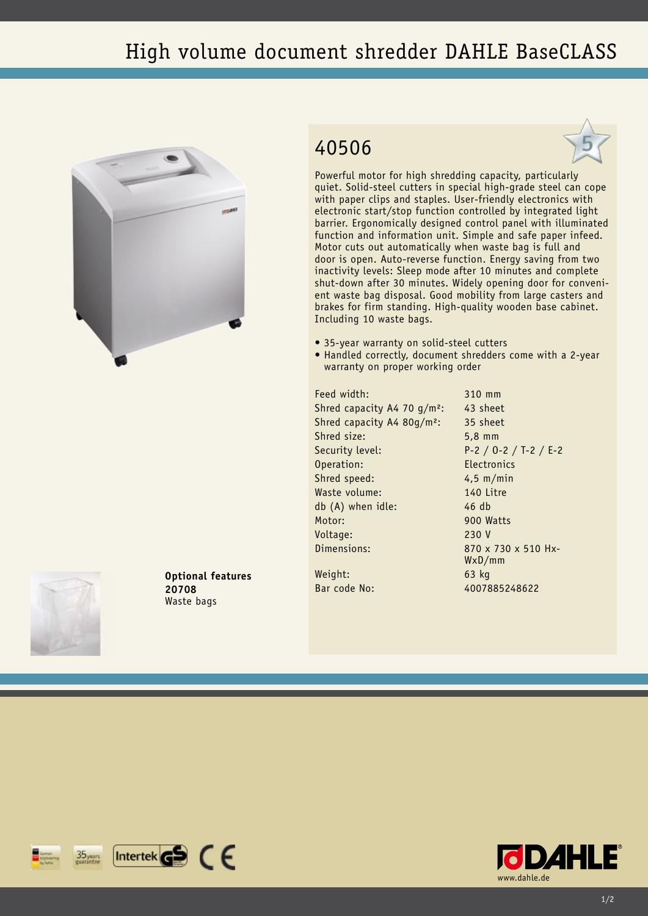## High volume document shredder DAHLE BaseCLASS



## 40506



Powerful motor for high shredding capacity, particularly quiet. Solid-steel cutters in special high-grade steel can cope with paper clips and staples. User-friendly electronics with electronic start/stop function controlled by integrated light barrier. Ergonomically designed control panel with illuminated function and information unit. Simple and safe paper infeed. Motor cuts out automatically when waste bag is full and door is open. Auto-reverse function. Energy saving from two inactivity levels: Sleep mode after 10 minutes and complete shut-down after 30 minutes. Widely opening door for convenient waste bag disposal. Good mobility from large casters and brakes for firm standing. High-quality wooden base cabinet. Including 10 waste bags.

- 35-year warranty on solid-steel cutters
- Handled correctly, document shredders come with a 2-year warranty on proper working order

Feed width: 310 mm Shred capacity A4 70  $q/m^2$ : 43 sheet Shred capacity A4 80g/m²: 35 sheet Shred size: 5,8 mm Security level: P-2 / O-2 / T-2 / E-2 Operation: Electronics Shred speed: 4,5 m/min Waste volume: 140 Litre db (A) when idle: 46 db Motor: 900 Watts Voltage: 230 V Dimensions: 870 x 730 x 510 Hx-

WxD/mm

Weight: 63 kg Bar code No: 4007885248622



**Optional features 20708** Waste bags